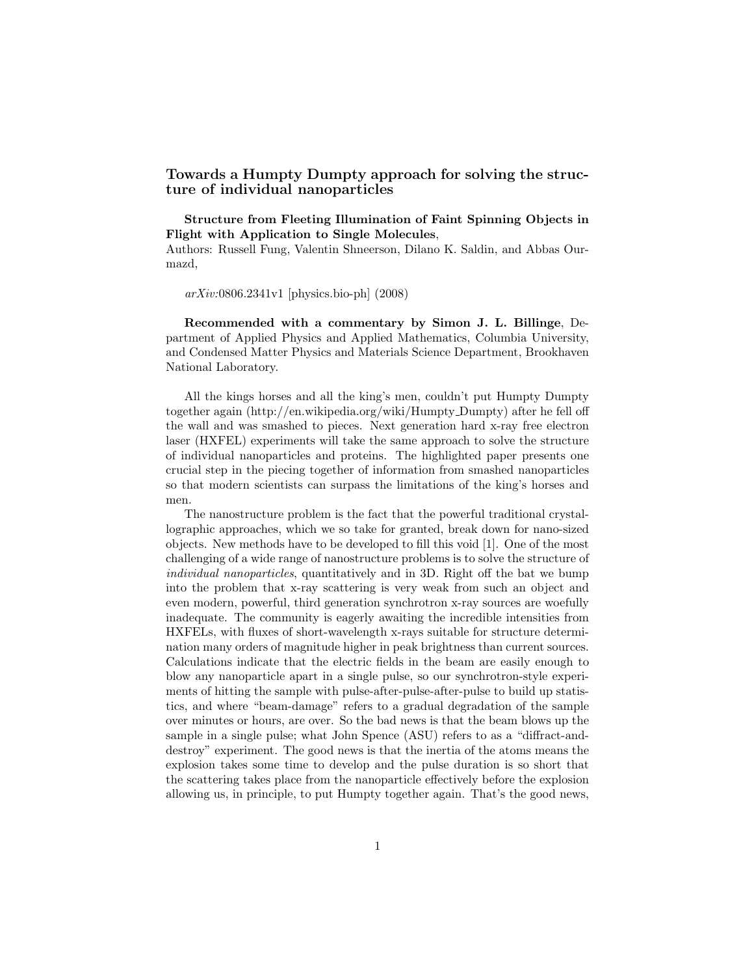## Towards a Humpty Dumpty approach for solving the structure of individual nanoparticles

Structure from Fleeting Illumination of Faint Spinning Objects in Flight with Application to Single Molecules,

Authors: Russell Fung, Valentin Shneerson, Dilano K. Saldin, and Abbas Ourmazd,

arXiv:0806.2341v1 [physics.bio-ph] (2008)

Recommended with a commentary by Simon J. L. Billinge, Department of Applied Physics and Applied Mathematics, Columbia University, and Condensed Matter Physics and Materials Science Department, Brookhaven National Laboratory.

All the kings horses and all the king's men, couldn't put Humpty Dumpty together again (http://en.wikipedia.org/wiki/Humpty Dumpty) after he fell off the wall and was smashed to pieces. Next generation hard x-ray free electron laser (HXFEL) experiments will take the same approach to solve the structure of individual nanoparticles and proteins. The highlighted paper presents one crucial step in the piecing together of information from smashed nanoparticles so that modern scientists can surpass the limitations of the king's horses and men.

The nanostructure problem is the fact that the powerful traditional crystallographic approaches, which we so take for granted, break down for nano-sized objects. New methods have to be developed to fill this void [1]. One of the most challenging of a wide range of nanostructure problems is to solve the structure of individual nanoparticles, quantitatively and in 3D. Right off the bat we bump into the problem that x-ray scattering is very weak from such an object and even modern, powerful, third generation synchrotron x-ray sources are woefully inadequate. The community is eagerly awaiting the incredible intensities from HXFELs, with fluxes of short-wavelength x-rays suitable for structure determination many orders of magnitude higher in peak brightness than current sources. Calculations indicate that the electric fields in the beam are easily enough to blow any nanoparticle apart in a single pulse, so our synchrotron-style experiments of hitting the sample with pulse-after-pulse-after-pulse to build up statistics, and where "beam-damage" refers to a gradual degradation of the sample over minutes or hours, are over. So the bad news is that the beam blows up the sample in a single pulse; what John Spence (ASU) refers to as a "diffract-anddestroy" experiment. The good news is that the inertia of the atoms means the explosion takes some time to develop and the pulse duration is so short that the scattering takes place from the nanoparticle effectively before the explosion allowing us, in principle, to put Humpty together again. That's the good news,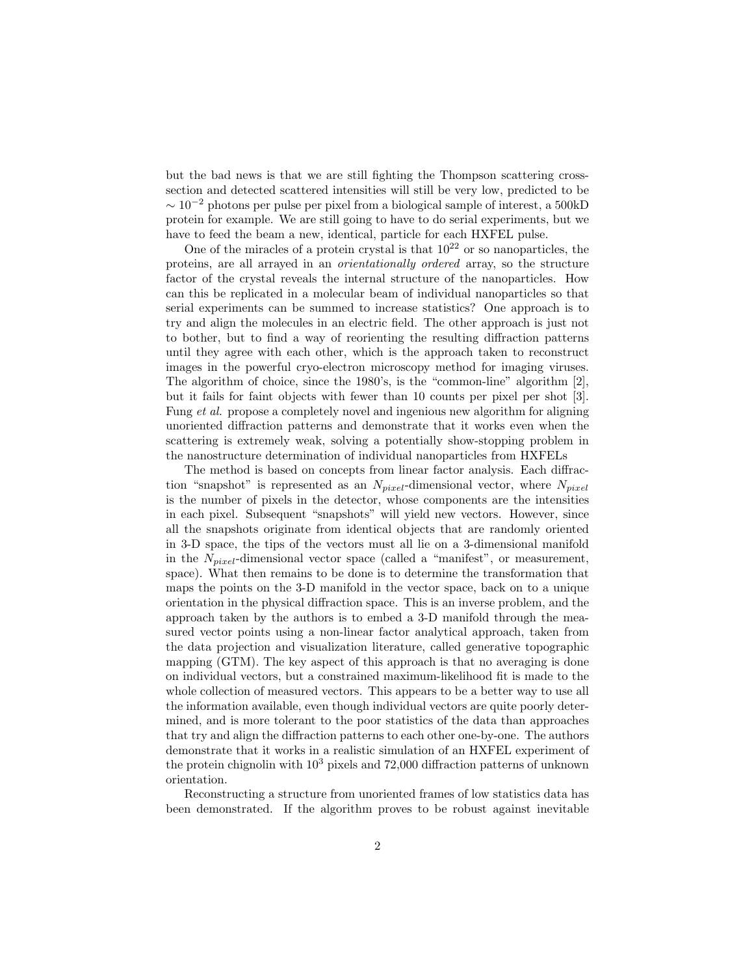but the bad news is that we are still fighting the Thompson scattering crosssection and detected scattered intensities will still be very low, predicted to be  $\sim 10^{-2}$  photons per pulse per pixel from a biological sample of interest, a 500kD protein for example. We are still going to have to do serial experiments, but we have to feed the beam a new, identical, particle for each HXFEL pulse.

One of the miracles of a protein crystal is that  $10^{22}$  or so nanoparticles, the proteins, are all arrayed in an orientationally ordered array, so the structure factor of the crystal reveals the internal structure of the nanoparticles. How can this be replicated in a molecular beam of individual nanoparticles so that serial experiments can be summed to increase statistics? One approach is to try and align the molecules in an electric field. The other approach is just not to bother, but to find a way of reorienting the resulting diffraction patterns until they agree with each other, which is the approach taken to reconstruct images in the powerful cryo-electron microscopy method for imaging viruses. The algorithm of choice, since the 1980's, is the "common-line" algorithm [2], but it fails for faint objects with fewer than 10 counts per pixel per shot [3]. Fung et al. propose a completely novel and ingenious new algorithm for aligning unoriented diffraction patterns and demonstrate that it works even when the scattering is extremely weak, solving a potentially show-stopping problem in the nanostructure determination of individual nanoparticles from HXFELs

The method is based on concepts from linear factor analysis. Each diffraction "snapshot" is represented as an  $N_{pixel}$ -dimensional vector, where  $N_{pixel}$ is the number of pixels in the detector, whose components are the intensities in each pixel. Subsequent "snapshots" will yield new vectors. However, since all the snapshots originate from identical objects that are randomly oriented in 3-D space, the tips of the vectors must all lie on a 3-dimensional manifold in the  $N_{pixel}$ -dimensional vector space (called a "manifest", or measurement, space). What then remains to be done is to determine the transformation that maps the points on the 3-D manifold in the vector space, back on to a unique orientation in the physical diffraction space. This is an inverse problem, and the approach taken by the authors is to embed a 3-D manifold through the measured vector points using a non-linear factor analytical approach, taken from the data projection and visualization literature, called generative topographic mapping (GTM). The key aspect of this approach is that no averaging is done on individual vectors, but a constrained maximum-likelihood fit is made to the whole collection of measured vectors. This appears to be a better way to use all the information available, even though individual vectors are quite poorly determined, and is more tolerant to the poor statistics of the data than approaches that try and align the diffraction patterns to each other one-by-one. The authors demonstrate that it works in a realistic simulation of an HXFEL experiment of the protein chignolin with  $10^3$  pixels and 72,000 diffraction patterns of unknown orientation.

Reconstructing a structure from unoriented frames of low statistics data has been demonstrated. If the algorithm proves to be robust against inevitable